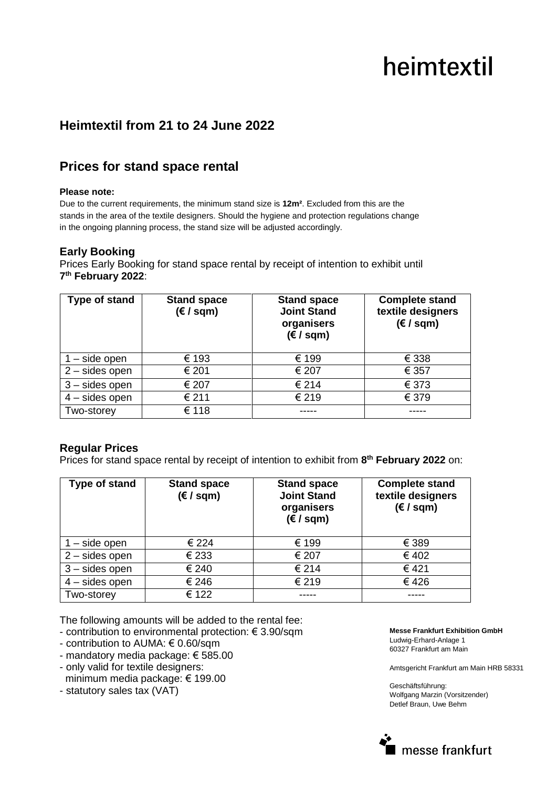# heimtextil

## **Heimtextil from 21 to 24 June 2022**

### **Prices for stand space rental**

#### **Please note:**

Due to the current requirements, the minimum stand size is **12m²**. Excluded from this are the stands in the area of the textile designers. Should the hygiene and protection regulations change in the ongoing planning process, the stand size will be adjusted accordingly.

#### **Early Booking**

Prices Early Booking for stand space rental by receipt of intention to exhibit until **7 th February 2022**:

| Type of stand    | <b>Stand space</b><br>$(\epsilon / \sqrt{sqm})$ | <b>Stand space</b><br><b>Joint Stand</b><br>organisers<br>$(\epsilon / \sqrt{sgn})$ | <b>Complete stand</b><br>textile designers<br>$(\epsilon / \sqrt{sgm})$ |
|------------------|-------------------------------------------------|-------------------------------------------------------------------------------------|-------------------------------------------------------------------------|
| - side open      | € 193                                           | € 199                                                                               | € 338                                                                   |
| $2$ – sides open | € 201                                           | € 207                                                                               | € 357                                                                   |
| $3 -$ sides open | € 207                                           | € 214                                                                               | € 373                                                                   |
| $4$ – sides open | € 211                                           | € 219                                                                               | € 379                                                                   |
| Two-storey       | € 118                                           |                                                                                     |                                                                         |

#### **Regular Prices**

Prices for stand space rental by receipt of intention to exhibit from **8 th February 2022** on:

| <b>Type of stand</b>        | <b>Stand space</b><br>$(\epsilon / \sqrt{sgm})$ | <b>Stand space</b><br><b>Joint Stand</b><br>organisers<br>$(\epsilon / \sqrt{\epsilon})$ | <b>Complete stand</b><br>textile designers<br>$(\epsilon / \sqrt{sgm})$ |
|-----------------------------|-------------------------------------------------|------------------------------------------------------------------------------------------|-------------------------------------------------------------------------|
| $\overline{1}$ – side open  | € 224                                           | € 199                                                                                    | € 389                                                                   |
| $2$ – sides open            | € 233                                           | € 207                                                                                    | € 402                                                                   |
| $3 -$ sides open            | € 240                                           | € 214                                                                                    | €421                                                                    |
| $\overline{4}$ – sides open | € 246                                           | € 219                                                                                    | €426                                                                    |
| Two-storey                  | € 122                                           |                                                                                          |                                                                         |

The following amounts will be added to the rental fee:

- contribution to environmental protection: € 3.90/sqm
- contribution to AUMA: € 0.60/sqm
- mandatory media package: € 585.00
- only valid for textile designers: minimum media package: € 199.00
- statutory sales tax (VAT)

**Messe Frankfurt Exhibition GmbH**  Ludwig-Erhard-Anlage 1

60327 Frankfurt am Main

Amtsgericht Frankfurt am Main HRB 58331

Geschäftsführung: Wolfgang Marzin (Vorsitzender) Detlef Braun, Uwe Behm